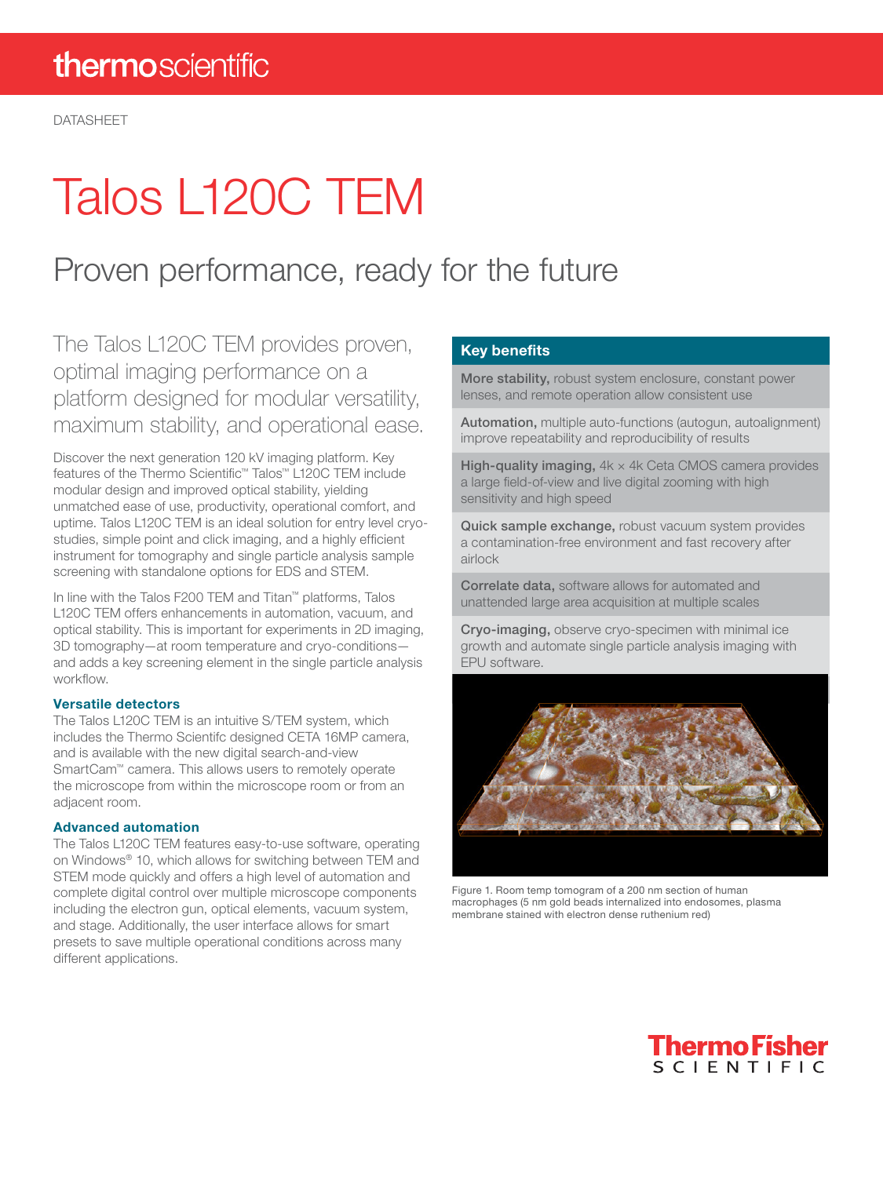# Talos L120C TEM

### Proven performance, ready for the future

The Talos L120C TEM provides proven, optimal imaging performance on a platform designed for modular versatility, maximum stability, and operational ease.

Discover the next generation 120 kV imaging platform. Key features of the Thermo Scientific™ Talos™ L120C TEM include modular design and improved optical stability, yielding unmatched ease of use, productivity, operational comfort, and uptime. Talos L120C TEM is an ideal solution for entry level cryostudies, simple point and click imaging, and a highly efficient instrument for tomography and single particle analysis sample screening with standalone options for EDS and STEM.

In line with the Talos F200 TEM and Titan™ platforms, Talos L120C TEM offers enhancements in automation, vacuum, and optical stability. This is important for experiments in 2D imaging, 3D tomography—at room temperature and cryo-conditions and adds a key screening element in the single particle analysis workflow.

#### Versatile detectors

The Talos L120C TEM is an intuitive S/TEM system, which includes the Thermo Scientifc designed CETA 16MP camera, and is available with the new digital search-and-view SmartCam™ camera. This allows users to remotely operate the microscope from within the microscope room or from an adjacent room.

#### Advanced automation

The Talos L120C TEM features easy-to-use software, operating on Windows® 10, which allows for switching between TEM and STEM mode quickly and offers a high level of automation and complete digital control over multiple microscope components including the electron gun, optical elements, vacuum system, and stage. Additionally, the user interface allows for smart presets to save multiple operational conditions across many different applications.

#### Key benefits

More stability, robust system enclosure, constant power lenses, and remote operation allow consistent use

Automation, multiple auto-functions (autogun, autoalignment) improve repeatability and reproducibility of results

High-quality imaging,  $4k \times 4k$  Ceta CMOS camera provides a large field-of-view and live digital zooming with high sensitivity and high speed

Quick sample exchange, robust vacuum system provides a contamination-free environment and fast recovery after airlock

Correlate data, software allows for automated and unattended large area acquisition at multiple scales

Cryo-imaging, observe cryo-specimen with minimal ice growth and automate single particle analysis imaging with EPU software.



Figure 1. Room temp tomogram of a 200 nm section of human macrophages (5 nm gold beads internalized into endosomes, plasma membrane stained with electron dense ruthenium red)